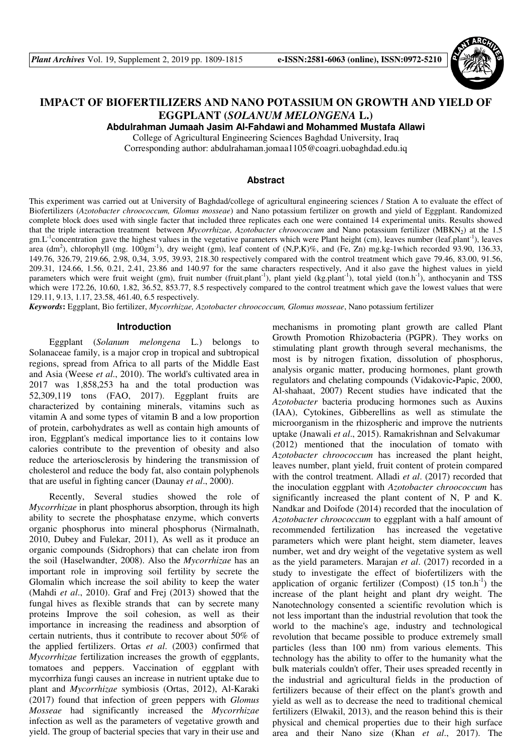

# **IMPACT OF BIOFERTILIZERS AND NANO POTASSIUM ON GROWTH AND YIELD OF EGGPLANT (***SOLANUM MELONGENA* **L.)**

**Abdulrahman Jumaah Jasim Al-Fahdawi and Mohammed Mustafa Allawi**

College of Agricultural Engineering Sciences Baghdad University, Iraq

Corresponding author: abdulrahaman.jomaa1105@coagri.uobaghdad.edu.iq

# **Abstract**

This experiment was carried out at University of Baghdad/college of agricultural engineering sciences / Station A to evaluate the effect of Biofertilizers (*Azotobacter chroococcum, Glomus mosseae*) and Nano potassium fertilizer on growth and yield of Eggplant. Randomized complete block does used with single facter that included three replicates each one were contained 14 experimental units. Results showed that the triple interaction treatment between *Mycorrhizae, Azotobacter chroococcum* and Nano potassium fertilizer (MBKN<sub>2</sub>) at the 1.5  $gm.L<sup>-1</sup> concentration gave the highest values in the vegetative parameters which were Plant height (cm), leaves number (leaf.path<sup>-1</sup>), leaves$ area (dm<sup>2</sup>), chlorophyll (mg. 100gm<sup>-1</sup>), dry weight (gm), leaf content of (N,P,K)%, and (Fe, Zn) mg.kg-1which recorded 93.90, 136.33, 149.76, 326.79, 219.66, 2.98, 0,34, 3.95, 39.93, 218.30 respectively compared with the control treatment which gave 79.46, 83.00, 91.56, 209.31, 124.66, 1.56, 0.21, 2.41, 23.86 and 140.97 for the same characters respectively, And it also gave the highest values in yield parameters which were fruit weight (gm), fruit number (fruit.plant<sup>-1</sup>), plant yield (kg.plant<sup>-1</sup>), total yield (ton.h<sup>-1</sup>), anthocyanin and TSS which were 172.26, 10.60, 1.82, 36.52, 853.77, 8.5 respectively compared to the control treatment which gave the lowest values that were 129.11, 9.13, 1.17, 23.58, 461.40, 6.5 respectively.

*Keywords***:** Eggplant, Bio fertilizer, *Mycorrhizae, Azotobacter chroococcum, Glomus mosseae*, Nano potassium fertilizer

### **Introduction**

Eggplant (*Solanum melongena* L.) belongs to Solanaceae family, is a major crop in tropical and subtropical regions, spread from Africa to all parts of the Middle East and Asia (Weese *et al*., 2010). The world's cultivated area in 2017 was 1,858,253 ha and the total production was 52,309,119 tons (FAO, 2017). Eggplant fruits are characterized by containing minerals, vitamins such as vitamin A and some types of vitamin B and a low proportion of protein, carbohydrates as well as contain high amounts of iron, Eggplant's medical importance lies to it contains low calories contribute to the prevention of obesity and also reduce the arteriosclerosis by hindering the transmission of cholesterol and reduce the body fat, also contain polyphenols that are useful in fighting cancer (Daunay *et al*., 2000).

Recently, Several studies showed the role of *Mycorrhizae* in plant phosphorus absorption, through its high ability to secrete the phosphatase enzyme, which converts organic phosphorus into mineral phosphorus (Nirmalnath, 2010, Dubey and Fulekar, 2011), As well as it produce an organic compounds (Sidrophors) that can chelate iron from the soil (Haselwandter, 2008). Also the *Mycorrhizae* has an important role in improving soil fertility by secrete the Glomalin which increase the soil ability to keep the water (Mahdi *et al*., 2010). Graf and Frej (2013) showed that the fungal hives as flexible strands that can by secrete many proteins Improve the soil cohesion, as well as their importance in increasing the readiness and absorption of certain nutrients, thus it contribute to recover about 50% of the applied fertilizers. Ortas *et al*. (2003) confirmed that *Mycorrhizae* fertilization increases the growth of eggplants, tomatoes and peppers. Vaccination of eggplant with mycorrhiza fungi causes an increase in nutrient uptake due to plant and *Mycorrhizae* symbiosis (Ortas, 2012), Al-Karaki (2017) found that infection of green peppers with *Glomus Mosseae* had significantly increased the *Mycorrhizae*  infection as well as the parameters of vegetative growth and yield. The group of bacterial species that vary in their use and

mechanisms in promoting plant growth are called Plant Growth Promotion Rhizobacteria (PGPR). They works on stimulating plant growth through several mechanisms, the most is by nitrogen fixation, dissolution of phosphorus, analysis organic matter, producing hormones, plant growth regulators and chelating compounds (Vidakovic**-**Papic, 2000, Al-shahaat, 2007) Recent studies have indicated that the *Azotobacter* bacteria producing hormones such as Auxins (IAA), Cytokines, Gibberellins as well as stimulate the microorganism in the rhizospheric and improve the nutrients uptake (Jnawali *et al*., 2015). Ramakrishnan and Selvakumar (2012) mentioned that the inoculation of tomato with *Azotobacter chroococcum* has increased the plant height, leaves number, plant yield, fruit content of protein compared with the control treatment. Alladi *et al*. (2017) recorded that the inoculation eggplant with *Azotobacter chroococcum* has significantly increased the plant content of N, P and K. Nandkar and Doifode (2014) recorded that the inoculation of *Azotobacter chroococcum* to eggplant with a half amount of recommended fertilization has increased the vegetative parameters which were plant height, stem diameter, leaves number, wet and dry weight of the vegetative system as well as the yield parameters. Marajan *et al*. (2017) recorded in a study to investigate the effect of biofertilizers with the application of organic fertilizer (Compost)  $(15 \text{ ton} \cdot h^{-1})$  the increase of the plant height and plant dry weight. The Nanotechnology consented a scientific revolution which is not less important than the industrial revolution that took the world to the machine's age, industry and technological revolution that became possible to produce extremely small particles (less than 100 nm) from various elements. This technology has the ability to offer to the humanity what the bulk materials couldn't offer, Their uses spreaded recently in the industrial and agricultural fields in the production of fertilizers because of their effect on the plant's growth and yield as well as to decrease the need to traditional chemical fertilizers (Elwakil, 2013), and the reason behind this is their physical and chemical properties due to their high surface area and their Nano size (Khan *et al*., 2017). The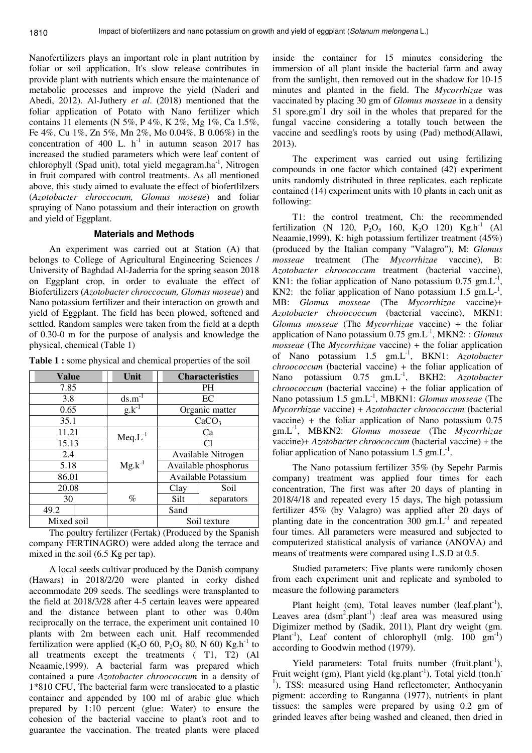Nanofertilizers plays an important role in plant nutrition by foliar or soil application, It's slow release contributes in provide plant with nutrients which ensure the maintenance of metabolic processes and improve the yield (Naderi and Abedi, 2012). Al-Juthery *et al*. (2018) mentioned that the foliar application of Potato with Nano fertilizer which contains 11 elements (N 5%, P 4%, K 2%, Mg 1%, Ca 1.5%, Fe 4%, Cu 1%, Zn 5%, Mn 2%, Mo 0.04%, B 0.06%) in the concentration of 400 L.  $h^{-1}$  in autumn season 2017 has increased the studied parameters which were leaf content of chlorophyll (Spad unit), total yield megagram.ha<sup>-1</sup>, Nitrogen in fruit compared with control treatments. As all mentioned above, this study aimed to evaluate the effect of biofertlilzers (*Azotobacter chroccocum, Glomus moseae*) and foliar spraying of Nano potassium and their interaction on growth and yield of Eggplant.

### **Materials and Methods**

An experiment was carried out at Station (A) that belongs to College of Agricultural Engineering Sciences / University of Baghdad Al-Jaderria for the spring season 2018 on Eggplant crop, in order to evaluate the effect of Biofertilizers (*Azotobacter chroccocum, Glomus moseae*) and Nano potassium fertilizer and their interaction on growth and yield of Eggplant. The field has been plowed, softened and settled. Random samples were taken from the field at a depth of 0.30-0 m for the purpose of analysis and knowledge the physical, chemical (Table 1)

| <b>Value</b> | Unit         | <b>Characteristics</b> |                   |
|--------------|--------------|------------------------|-------------------|
| 7.85         |              | <b>PH</b>              |                   |
| 3.8          | $ds.m^{-1}$  |                        | EC                |
| 0.65         | $g.k^{-1}$   |                        | Organic matter    |
| 35.1         |              |                        | CaCO <sub>3</sub> |
| 11.21        | $Meq.L^{-1}$ | Ca                     |                   |
| 15.13        |              | C1                     |                   |
| 2.4          |              | Available Nitrogen     |                   |
| 5.18         | $Mg.k^{-1}$  | Available phosphorus   |                   |
| 86.01        |              | Available Potassium    |                   |
| 20.08        |              | Clay                   | Soil              |
| 30           | $\%$         | Silt<br>separators     |                   |
| 49.2         |              | Sand                   |                   |
| Mixed soil   |              | Soil texture           |                   |

**Table 1 :** some physical and chemical properties of the soil

The poultry fertilizer (Fertak) (Produced by the Spanish company FERTINAGRO) were added along the terrace and mixed in the soil (6.5 Kg per tap).

A local seeds cultivar produced by the Danish company (Hawars) in 2018/2/20 were planted in corky dished accommodate 209 seeds. The seedlings were transplanted to the field at 2018/3/28 after 4-5 certain leaves were appeared and the distance between plant to other was 0.40m reciprocally on the terrace, the experiment unit contained 10 plants with 2m between each unit. Half recommended fertilization were applied (K<sub>2</sub>O 60, P<sub>2</sub>O<sub>5</sub> 80, N 60) Kg.h<sup>-1</sup> to all treatments except the treatments ( T1, T2) (Al Neaamie,1999). A bacterial farm was prepared which contained a pure *Azotobacter chroococcum* in a density of 1\*810 CFU, The bacterial farm were translocated to a plastic container and appended by 100 ml of arabic glue which prepared by 1:10 percent (glue: Water) to ensure the cohesion of the bacterial vaccine to plant's root and to guarantee the vaccination. The treated plants were placed

inside the container for 15 minutes considering the immersion of all plant inside the bacterial farm and away from the sunlight, then removed out in the shadow for 10-15 minutes and planted in the field. The *Mycorrhizae* was vaccinated by placing 30 gm of *Glomus mosseae* in a density 51 spore.gm-1 dry soil in the wholes that prepared for the fungal vaccine considering a totally touch between the vaccine and seedling's roots by using (Pad) method(Allawi, 2013).

The experiment was carried out using fertilizing compounds in one factor which contained (42) experiment units randomly distributed in three replicates, each replicate contained (14) experiment units with 10 plants in each unit as following:

T1: the control treatment, Ch: the recommended fertilization (N 120,  $P_2O_5$  160,  $K_2O$  120)  $Kg.h^{-1}$  (Al Neaamie,1999), K: high potassium fertilizer treatment (45%) (produced by the Italian company "Valagro"), M: *Glomus mosseae* treatment (The *Mycorrhizae* vaccine), B: *Azotobacter chroococcum* treatment (bacterial vaccine), KN1: the foliar application of Nano potassium  $0.75$  gm.L<sup>-1</sup> , KN2: the foliar application of Nano potassium  $1.5 \text{ gm.L}^{-1}$ , MB: *Glomus mosseae* (The *Mycorrhizae* vaccine)+ *Azotobacter chroococcum* (bacterial vaccine), MKN1: *Glomus mosseae* (The *Mycorrhizae* vaccine) + the foliar application of Nano potassium 0.75 gm.L-1, MKN2: : *Glomus mosseae* (The *Mycorrhizae* vaccine) + the foliar application of Nano potassium 1.5 gm.L-1, BKN1: *Azotobacter chroococcum* (bacterial vaccine) + the foliar application of Nano potassium 0.75 gm.L-1, BKH2: *Azotobacter chroococcum* (bacterial vaccine) + the foliar application of Nano potassium 1.5 gm.L-1, MBKN1: *Glomus mosseae* (The *Mycorrhizae* vaccine) + *Azotobacter chroococcum* (bacterial vaccine) + the foliar application of Nano potassium  $0.75$ gm.L-1, MBKN2: *Glomus mosseae* (The *Mycorrhizae* vaccine)+ *Azotobacter chroococcum* (bacterial vaccine) + the foliar application of Nano potassium  $1.5 \text{ gm.L}^{-1}$ .

The Nano potassium fertilizer 35% (by Sepehr Parmis company) treatment was applied four times for each concentration, The first was after 20 days of planting in 2018/4/18 and repeated every 15 days, The high potassium fertilizer 45% (by Valagro) was applied after 20 days of planting date in the concentration  $300 \text{ gm.L}^{-1}$  and repeated four times. All parameters were measured and subjected to computerized statistical analysis of variance (ANOVA) and means of treatments were compared using L.S.D at 0.5.

Studied parameters: Five plants were randomly chosen from each experiment unit and replicate and symboled to measure the following parameters

Plant height (cm), Total leaves number (leaf.plant<sup>-1</sup>), Leaves area  $(dsm^2.plant^{-1})$  :leaf area was measured using Digimizer method by (Sadik, 2011), Plant dry weight (gm. Plant<sup>-1</sup>), Leaf content of chlorophyll (mlg. 100  $\text{gm}^{-1}$ ) according to Goodwin method (1979).

Yield parameters: Total fruits number (fruit.plant<sup>-1</sup>), Fruit weight (gm), Plant yield (kg.plant<sup>-1</sup>), Total yield (ton.h<sup>-1</sup>) <sup>1</sup>), TSS: measured using Hand reflectometer, Anthocyanin pigment: according to Ranganna (1977), nutrients in plant tissues: the samples were prepared by using 0.2 gm of grinded leaves after being washed and cleaned, then dried in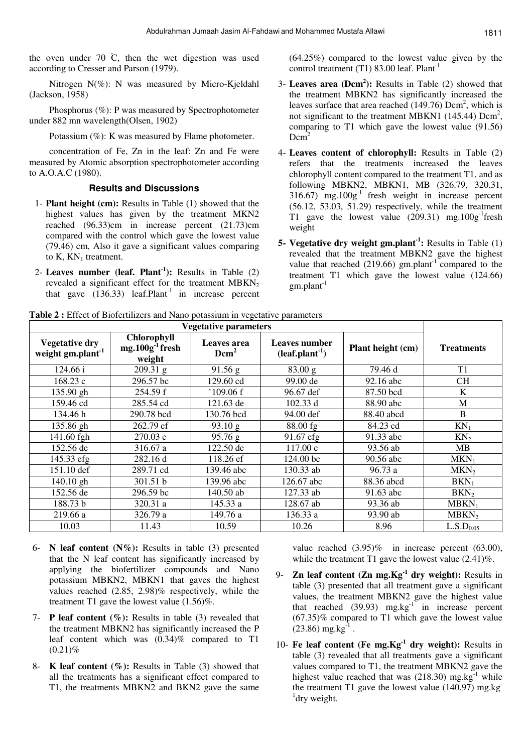the oven under 70  $\dot{C}$ , then the wet digestion was used according to Cresser and Parson (1979).

Nitrogen N(%): N was measured by Micro-Kjeldahl (Jackson, 1958)

Phosphorus (%): P was measured by Spectrophotometer under 882 mn wavelength(Olsen, 1902)

Potassium (%): K was measured by Flame photometer.

concentration of Fe, Zn in the leaf: Zn and Fe were measured by Atomic absorption spectrophotometer according to A.O.A.C (1980).

## **Results and Discussions**

- 1- **Plant height (cm):** Results in Table (1) showed that the highest values has given by the treatment MKN2 reached (96.33)cm in increase percent (21.73)cm compared with the control which gave the lowest value (79.46) cm, Also it gave a significant values comparing to  $K$ ,  $KN_1$  treatment.
- 2- **Leaves number (leaf. Plant-1):** Results in Table (2) revealed a significant effect for the treatment  $MBKN<sub>2</sub>$ that gave  $(136.33)$  leaf.Plant<sup>-1</sup> in increase percent

(64.25%) compared to the lowest value given by the control treatment (T1) 83.00 leaf. Plant<sup>-1</sup>

- 3- **Leaves area (Dcm<sup>2</sup> ):** Results in Table (2) showed that the treatment MBKN2 has significantly increased the leaves surface that area reached  $(149.76)$  Dcm<sup>2</sup>, which is not significant to the treatment MBKN1 (145.44)  $Dcm<sup>2</sup>$ , comparing to T1 which gave the lowest value (91.56)  $Dcm<sup>2</sup>$
- 4- **Leaves content of chlorophyll:** Results in Table (2) refers that the treatments increased the leaves chlorophyll content compared to the treatment T1, and as following MBKN2, MBKN1, MB (326.79, 320.31,  $316.67$ ) mg. $100g<sup>-1</sup>$  fresh weight in increase percent (56.12, 53.03, 51.29) respectively, while the treatment T1 gave the lowest value  $(209.31)$  mg.100g<sup>-1</sup>fresh weight
- **5- Vegetative dry weight gm.plant-1:** Results in Table (1) revealed that the treatment MBKN2 gave the highest value that reached  $(219.66)$  gm.plant<sup>-1</sup> compared to the treatment T1 which gave the lowest value (124.66)  $gm.plant^{-1}$

**Table 2 :** Effect of Biofertilizers and Nano potassium in vegetative parameters

| <b>Vegetative dry</b><br>weight gm.plant <sup>-1</sup> | Chlorophyll<br>$mg.100g-1$ fresh<br>weight | Leaves area<br>Dcm <sup>2</sup> | Leaves number<br>$(leaf.path-1)$ | Plant height (cm) | <b>Treatments</b>  |
|--------------------------------------------------------|--------------------------------------------|---------------------------------|----------------------------------|-------------------|--------------------|
| 124.66 i                                               | $209.31$ g                                 | 91.56 g                         | 83.00 g                          | 79.46 d           | T <sub>1</sub>     |
| 168.23 c                                               | 296.57 bc                                  | 129.60 cd                       | 99.00 de                         | 92.16 abc         | <b>CH</b>          |
| 135.90 gh                                              | 254.59 f                                   | $^{\circ}109.06\,\mathrm{f}$    | 96.67 def                        | 87.50 bcd         | K                  |
| 159.46 cd                                              | 285.54 cd                                  | 121.63 de                       | 102.33 d                         | 88.90 abc         | M                  |
| 134.46 h                                               | 290.78 bcd                                 | 130.76 bcd                      | 94.00 def                        | 88.40 abcd        | B                  |
| 135.86 gh                                              | 262.79 ef                                  | 93.10 g                         | 88.00 fg                         | 84.23 cd          | $KN_1$             |
| 141.60 fgh                                             | 270.03 e                                   | 95.76 g                         | 91.67 efg                        | 91.33 abc         | KN <sub>2</sub>    |
| 152.56 de                                              | 316.67 a                                   | 122.50 de                       | 117.00c                          | 93.56 ab          | MВ                 |
| 145.33 efg                                             | 282.16 d                                   | 118.26 ef                       | 124.00 <sub>bc</sub>             | 90.56 abc         | $MKN_1$            |
| 151.10 def                                             | 289.71 cd                                  | 139.46 abc                      | 130.33 ab                        | 96.73a            | MKN <sub>2</sub>   |
| $140.10$ gh                                            | 301.51 b                                   | 139.96 abc                      | 126.67 abc                       | 88.36 abcd        | $BKN_1$            |
| 152.56 de                                              | 296.59 bc                                  | 140.50 ab                       | 127.33 ab                        | 91.63 abc         | BKN <sub>2</sub>   |
| 188.73 b                                               | 320.31 a                                   | 145.33 a                        | 128.67 ab                        | 93.36 ab          | $MBKN_1$           |
| 219.66 a                                               | 326.79a                                    | 149.76 a                        | 136.33 a                         | 93.90 ab          | MBKN <sub>2</sub>  |
| 10.03                                                  | 11.43                                      | 10.59                           | 10.26                            | 8.96              | $\rm L.S.D_{0.05}$ |

- 6- **N leaf content (N%):** Results in table (3) presented that the N leaf content has significantly increased by applying the biofertilizer compounds and Nano potassium MBKN2, MBKN1 that gaves the highest values reached (2.85, 2.98)% respectively, while the treatment T1 gave the lowest value (1.56)%.
- 7- **P leaf content (%):** Results in table (3) revealed that the treatment MBKN2 has significantly increased the P leaf content which was (0.34)% compared to T1  $(0.21)\%$
- 8- **K leaf content (%):** Results in Table (3) showed that all the treatments has a significant effect compared to T1, the treatments MBKN2 and BKN2 gave the same

value reached (3.95)% in increase percent (63.00), while the treatment T1 gave the lowest value  $(2.41)\%$ .

- 9- **Zn leaf content (Zn mg.Kg-1 dry weight):** Results in table (3) presented that all treatment gave a significant values, the treatment MBKN2 gave the highest value that reached  $(39.93)$  mg.kg<sup>-1</sup> in increase percent (67.35)% compared to T1 which gave the lowest value  $(23.86)$  mg.kg<sup>-1</sup>.
- 10- **Fe leaf content (Fe mg.Kg-1 dry weight):** Results in table (3) revealed that all treatments gave a significant values compared to T1, the treatment MBKN2 gave the highest value reached that was  $(218.30)$  mg.kg<sup>-1</sup> while the treatment T1 gave the lowest value  $(140.97)$  mg.kg<sup>-</sup> <sup>1</sup>dry weight.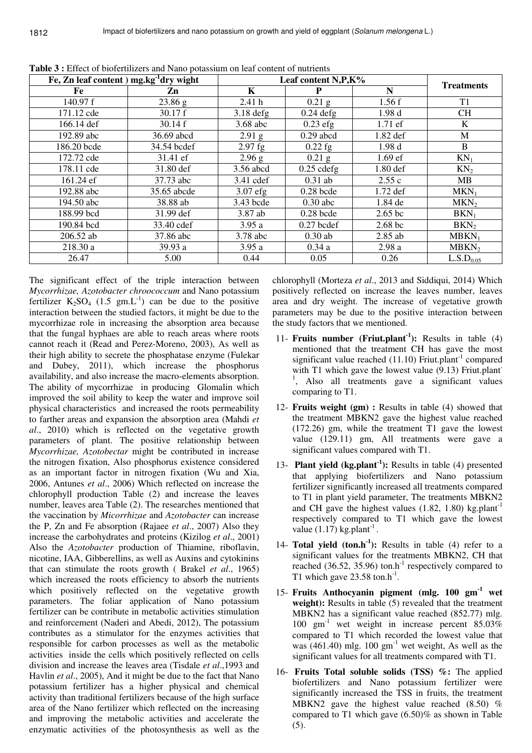| Fe, Zn leaf content $)$ mg.kg $^{-1}$ dry wight | Leaf content N,P,K% |             |              |            |                       |
|-------------------------------------------------|---------------------|-------------|--------------|------------|-----------------------|
| Fe                                              | Zn                  | K           |              | N          | <b>Treatments</b>     |
| 140.97 $f$                                      | 23.86 g             | 2.41h       | $0.21$ g     | 1.56f      | T <sub>1</sub>        |
| 171.12 cde                                      | 30.17 f             | $3.18$ defg | $0.24$ defg  | 1.98d      | <b>CH</b>             |
| 166.14 def                                      | 30.14 f             | 3.68 abc    | $0.23$ efg   | 1.71 ef    | K                     |
| 192.89 abc                                      | 36.69 abcd          | $2.91$ g    | $0.29$ abcd  | 1.82 def   | M                     |
| 186.20 bcde                                     | 34.54 bcdef         | $2.97$ fg   | $0.22$ fg    | 1.98d      | B                     |
| 172.72 cde                                      | 31.41 ef            | 2.96 g      | $0.21$ g     | $1.69$ ef  | $KN_1$                |
| 178.11 cde                                      | 31.80 def           | 3.56 abcd   | $0.25$ cdefg | 1.80 def   | KN <sub>2</sub>       |
| 161.24 ef                                       | 37.73 abc           | 3.41 cdef   | $0.31$ ab    | 2.55c      | MB                    |
| 192.88 abc                                      | 35.65 abcde         | $3.07$ efg  | $0.28$ bcde  | $1.72$ def | $MKN_1$               |
| 194.50 abc                                      | 38.88 ab            | 3.43 bcde   | $0.30$ abc   | 1.84 de    | MKN <sub>2</sub>      |
| 188.99 bcd                                      | 31.99 def           | 3.87 ab     | $0.28$ bcde  | $2.65$ bc  | $BKN_1$               |
| 190.84 bcd                                      | 33.40 cdef          | 3.95a       | $0.27$ bcdef | 2.68 bc    | BKN <sub>2</sub>      |
| 206.52 ab                                       | 37.86 abc           | 3.78 abc    | $0.30$ ab    | $2.85$ ab  | $MBKN_1$              |
| 218.30 a                                        | 39.93 a             | 3.95a       | 0.34a        | 2.98a      | MBKN <sub>2</sub>     |
| 26.47                                           | 5.00                | 0.44        | 0.05         | 0.26       | L.S.D <sub>0.05</sub> |

**Table 3 :** Effect of biofertilizers and Nano potassium on leaf content of nutrients

The significant effect of the triple interaction between *Mycorrhizae, Azotobacter chroococcum* and Nano potassium fertilizer  $K_2SO_4$  (1.5 gm.L<sup>-1</sup>) can be due to the positive interaction between the studied factors, it might be due to the mycorrhizae role in increasing the absorption area because that the fungal hyphaes are able to reach areas where roots cannot reach it (Read and Perez-Moreno, 2003), As well as their high ability to secrete the phosphatase enzyme (Fulekar and Dubey, 2011), which increase the phosphorus availability, and also increase the macro-elements absorption. The ability of mycorrhizae in producing Glomalin which improved the soil ability to keep the water and improve soil physical characteristics and increased the roots permeability to farther areas and expansion the absorption area (Mahdi *et al*., 2010) which is reflected on the vegetative growth parameters of plant. The positive relationship between *Mycorrhizae, Azotobectar* might be contributed in increase the nitrogen fixation, Also phosphorus existence considered as an important factor in nitrogen fixation (Wu and Xia, 2006, Antunes *et al*., 2006) Which reflected on increase the chlorophyll production Table (2) and increase the leaves number, leaves area Table (2). The researches mentioned that the vaccination by *Micorrhizae* and *Azotobacter* can increase the P, Zn and Fe absorption (Rajaee *et al*., 2007) Also they increase the carbohydrates and proteins (Kizilog *et al*., 2001) Also the *Azotobacter* production of Thiamine, riboflavin, nicotine, IAA, Gibberellins, as well as Auxins and cytokinins that can stimulate the roots growth ( Brakel *et al*., 1965) which increased the roots efficiency to absorb the nutrients which positively reflected on the vegetative growth parameters. The foliar application of Nano potassium fertilizer can be contribute in metabolic activities stimulation and reinforcement (Naderi and Abedi, 2012), The potassium contributes as a stimulator for the enzymes activities that responsible for carbon processes as well as the metabolic activities inside the cells which positively reflected on cells division and increase the leaves area (Tisdale *et al*.,1993 and Havlin *et al*., 2005), And it might be due to the fact that Nano potassium fertilizer has a higher physical and chemical activity than traditional fertilizers because of the high surface area of the Nano fertilizer which reflected on the increasing and improving the metabolic activities and accelerate the enzymatic activities of the photosynthesis as well as the chlorophyll (Morteza *et al*., 2013 and Siddiqui, 2014) Which positively reflected on increase the leaves number, leaves area and dry weight. The increase of vegetative growth parameters may be due to the positive interaction between the study factors that we mentioned.

- 11- **Fruits number (Friut.plant-1):** Results in table (4) mentioned that the treatment CH has gave the most significant value reached  $(11.10)$  Friut.plant<sup>-1</sup> compared with T1 which gave the lowest value (9.13) Friut.plant<sup>-</sup> 1 , Also all treatments gave a significant values comparing to T1.
- 12- **Fruits weight (gm) :** Results in table (4) showed that the treatment MBKN2 gave the highest value reached (172.26) gm, while the treatment T1 gave the lowest value (129.11) gm, All treatments were gave a significant values compared with T1.
- 13- **Plant yield (kg.plant-1):** Results in table (4) presented that applying biofertilizers and Nano potassium fertilizer significantly increased all treatments compared to T1 in plant yield parameter, The treatments MBKN2 and CH gave the highest values  $(1.82, 1.80)$  kg.plant<sup>-1</sup> respectively compared to T1 which gave the lowest value  $(1.17)$  kg.plant<sup>-1</sup>.
- 14- **Total yield (ton.h<sup>-1</sup>):** Results in table (4) refer to a significant values for the treatments MBKN2, CH that reached (36.52, 35.96) ton.h<sup>-1</sup> respectively compared to T1 which gave  $23.58 \text{ ton} \cdot \text{h}^{-1}$ .
- 15- **Fruits Anthocyanin pigment (mlg. 100 gm-1 wet**  weight): Results in table (5) revealed that the treatment MBKN2 has a significant value reached (852.77) mlg. 100 gm-1 wet weight in increase percent 85.03% compared to T1 which recorded the lowest value that was (461.40) mlg.  $100 \text{ gm}^{-1}$  wet weight, As well as the significant values for all treatments compared with T1.
- 16- **Fruits Total soluble solids (TSS) %:** The applied biofertilizers and Nano potassium fertilizer were significantly increased the TSS in fruits, the treatment MBKN2 gave the highest value reached (8.50) % compared to T1 which gave  $(6.50)$ % as shown in Table (5).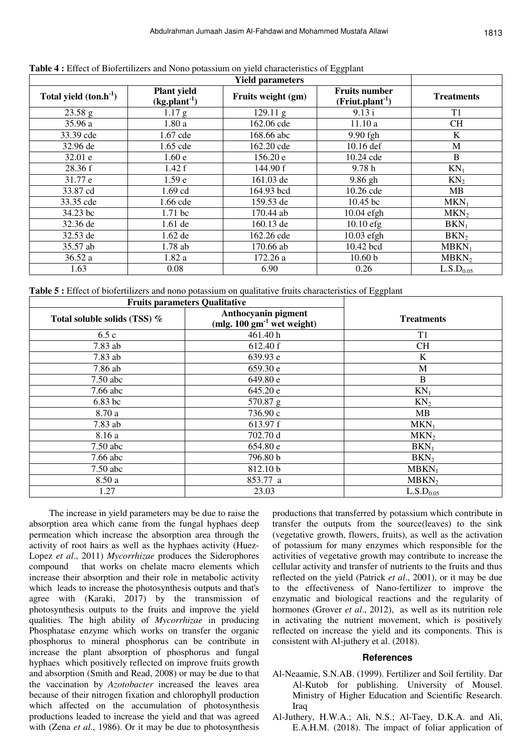| Total yield $(ton.h-1)$ | <b>Plant</b> yield<br>$(kg.plant-1)$ | Fruits weight (gm) | <b>Fruits number</b><br>$(Friut.plant-1)$ | <b>Treatments</b>     |
|-------------------------|--------------------------------------|--------------------|-------------------------------------------|-----------------------|
| 23.58 g                 | 1.17 g                               | $129.11\text{ g}$  | 9.13 i                                    | T1                    |
| 35.96 a                 | 1.80a                                | 162.06 cde         | 11.10a                                    | <b>CH</b>             |
| 33.39 cde               | 1.67 cde                             | 168.66 abc         | 9.90 fgh                                  | K                     |
| 32.96 de                | 1.65 cde                             | 162.20 cde         | 10.16 def                                 | M                     |
| 32.01 e                 | 1.60e                                | 156.20 e           | 10.24 cde                                 | B                     |
| 28.36 f                 | 1.42 f                               | 144.90 f           | 9.78h                                     | $KN_1$                |
| 31.77 e                 | 1.59 <sub>e</sub>                    | 161.03 de          | 9.86 gh                                   | KN <sub>2</sub>       |
| 33.87 cd                | 1.69 cd                              | 164.93 bcd         | 10.26 cde                                 | MB                    |
| 33.35 cde               | 1.66 cde                             | 159.53 de          | 10.45 bc                                  | $MKN_1$               |
| 34.23 bc                | $1.71$ bc                            | 170.44 ab          | $10.04$ efgh                              | MKN <sub>2</sub>      |
| 32.36 de                | $1.61$ de                            | 160.13 de          | $10.10$ efg                               | $BKN_1$               |
| 32.53 de                | $1.62$ de                            | 162.26 cde         | $10.03$ efgh                              | BKN <sub>2</sub>      |
| 35.57 ab                | 1.78 ab                              | 170.66 ab          | 10.42 bcd                                 | $MBKN_1$              |
| 36.52 a                 | 1.82a                                | 172.26 a           | 10.60 <sub>b</sub>                        | MBKN <sub>2</sub>     |
| 1.63                    | 0.08                                 | 6.90               | 0.26                                      | L.S.D <sub>0.05</sub> |

|  |  |  | Table 4 : Effect of Biofertilizers and Nono potassium on yield characteristics of Eggplant |  |
|--|--|--|--------------------------------------------------------------------------------------------|--|
|  |  |  |                                                                                            |  |

**Table 5 :** Effect of biofertilizers and nono potassium on qualitative fruits characteristics of Eggplant

| <b>Fruits parameters Qualitative</b> |                                                                |                       |
|--------------------------------------|----------------------------------------------------------------|-----------------------|
| Total soluble solids (TSS) %         | Anthocyanin pigment<br>(mlg. $100 \text{ gm}^{-1}$ wet weight) | <b>Treatments</b>     |
| 6.5c                                 | 461.40 h                                                       | T1                    |
| $7.83$ ab                            | 612.40 f                                                       | <b>CH</b>             |
| 7.83 ab                              | 639.93 e                                                       | K                     |
| 7.86 ab                              | 659.30 e                                                       | M                     |
| $7.50$ abc                           | 649.80 e                                                       | B                     |
| $7.66$ abc                           | 645.20 e                                                       | $KN_1$                |
| $6.83$ bc                            | 570.87 g                                                       | KN <sub>2</sub>       |
| 8.70 a                               | 736.90 c                                                       | MB                    |
| 7.83 ab                              | 613.97 f                                                       | $MKN_1$               |
| 8.16 a                               | 702.70 d                                                       | MKN <sub>2</sub>      |
| $7.50$ abc                           | 654.80 e                                                       | $BKN_1$               |
| 7.66 abc                             | 796.80 b                                                       | BKN <sub>2</sub>      |
| $7.50$ abc                           | 812.10 b                                                       | $MBKN_1$              |
| 8.50 a                               | 853.77 a                                                       | MBKN <sub>2</sub>     |
| 1.27                                 | 23.03                                                          | L.S.D <sub>0.05</sub> |

The increase in yield parameters may be due to raise the absorption area which came from the fungal hyphaes deep permeation which increase the absorption area through the activity of root hairs as well as the hyphaes activity (Huez-Lopez *et al*., 2011) *Mycorrhizae* produces the Siderophores compound that works on chelate macro elements which increase their absorption and their role in metabolic activity which leads to increase the photosynthesis outputs and that's agree with (Karaki, 2017) by the transmission of photosynthesis outputs to the fruits and improve the yield qualities. The high ability of *Mycorrhizae* in producing Phosphatase enzyme which works on transfer the organic phosphorus to mineral phosphorus can be contribute in increase the plant absorption of phosphorus and fungal hyphaes which positively reflected on improve fruits growth and absorption (Smith and Read, 2008) or may be due to that the vaccination by *Azotobacter* increased the leaves area because of their nitrogen fixation and chlorophyll production which affected on the accumulation of photosynthesis productions leaded to increase the yield and that was agreed with (Zena *et al*., 1986). Or it may be due to photosynthesis productions that transferred by potassium which contribute in transfer the outputs from the source(leaves) to the sink (vegetative growth, flowers, fruits), as well as the activation of potassium for many enzymes which responsible for the activities of vegetative growth may contribute to increase the cellular activity and transfer of nutrients to the fruits and thus reflected on the yield (Patrick *et al*., 2001), or it may be due to the effectiveness of Nano-fertilizer to improve the enzymatic and biological reactions and the regularity of hormones (Grover *et al*., 2012), as well as its nutrition role in activating the nutrient movement, which is positively reflected on increase the yield and its components. This is consistent with Al-juthery et al. (2018).

#### **References**

- Al-Neaamie, S.N.AB. (1999). Fertilizer and Soil fertility. Dar Al-Kutob for publishing. University of Mousel. Ministry of Higher Education and Scientific Research. Iraq
- Al-Juthery, H.W.A.; Ali, N.S.; Al-Taey, D.K.A. and Ali, E.A.H.M. (2018). The impact of foliar application of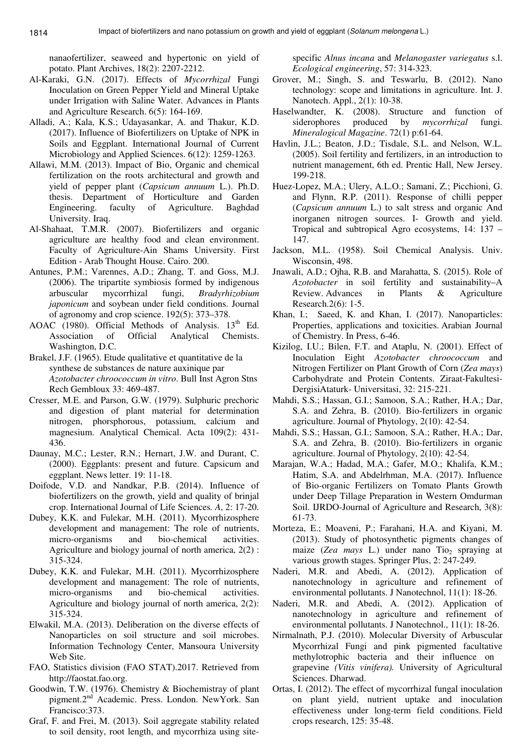nanaofertilizer, seaweed and hypertonic on yield of potato. Plant Archives, 18(2): 2207-2212.

- Al-Karaki, G.N. (2017). Effects of *Mycorrhizal* Fungi Inoculation on Green Pepper Yield and Mineral Uptake under Irrigation with Saline Water. Advances in Plants and Agriculture Research. 6(5): 164-169.
- Alladi, A.; Kala, K.S.; Udayasankar, A. and Thakur, K.D. (2017). Influence of Biofertilizers on Uptake of NPK in Soils and Eggplant. International Journal of Current Microbiology and Applied Sciences. 6(12): 1259-1263.
- Allawi, M.M. (2013). Impact of Bio, Organic and chemical fertilization on the roots architectural and growth and yield of pepper plant (*Capsicum annuum* L.). Ph.D. thesis. Department of Horticulture and Garden Engineering. faculty of Agriculture. Baghdad University. Iraq.
- Al-Shahaat, T.M.R. (2007). Biofertilizers and organic agriculture are healthy food and clean environment. Faculty of Agriculture-Ain Shams University. First Edition - Arab Thought House. Cairo. 200.
- Antunes, P.M.; Varennes, A.D.; Zhang, T. and Goss, M.J. (2006). The tripartite symbiosis formed by indigenous arbuscular mycorrhizal fungi, *Bradyrhizobium japonicum* and soybean under field conditions. Journal of agronomy and crop science. 192(5): 373–378.
- AOAC (1980). Official Methods of Analysis. 13<sup>th</sup> Ed. Association of Official Analytical Chemists. Washington, D.C.
- Brakel, J.F. (1965). Etude qualitative et quantitative de la synthese de substances de nature auxinique par *Azotobacter chroococcum in vitro*. Bull Inst Agron Stns Rech Gembloux 33: 469-487.
- Cresser, M.E. and Parson, G.W. (1979). Sulphuric prechoric and digestion of plant material for determination nitrogen, phorsphorous, potassium, calcium and magnesium. Analytical Chemical. Acta 109(2): 431- 436.
- Daunay, M.C.; Lester, R.N.; Hernart, J.W. and Durant, C. (2000). Eggplants: present and future. Capsicum and eggplant. News letter. 19: 11-18.
- Doifode, V.D. and Nandkar, P.B. (2014). Influence of biofertilizers on the growth, yield and quality of brinjal crop. International Journal of Life Sciences*. A*, 2: 17-20.
- Dubey, K.K. and Fulekar, M.H. (2011). Mycorrhizosphere development and management: The role of nutrients, micro-organisms and bio-chemical activities. Agriculture and biology journal of north america, 2(2) : 315-324.
- Dubey, K.K. and Fulekar, M.H. (2011). Mycorrhizosphere development and management: The role of nutrients, micro-organisms and bio-chemical activities. Agriculture and biology journal of north america, 2(2): 315-324.
- Elwakil, M.A. (2013). Deliberation on the diverse effects of Nanoparticles on soil structure and soil microbes. Information Technology Center, Mansoura University Web Site.
- FAO, Statistics division (FAO STAT).2017. Retrieved from http://faostat.fao.org.
- Goodwin, T.W. (1976). Chemistry & Biochemistray of plant pigment.2nd Academic. Press. London. NewYork. San Francisco:373.
- Graf, F. and Frei, M. (2013). Soil aggregate stability related to soil density, root length, and mycorrhiza using site-

specific *Alnus incana* and *Melanogaster variegatus* s.l. *Ecological engineering*, 57: 314-323.

- Grover, M.; Singh, S. and Teswarlu, B. (2012). Nano technology: scope and limitations in agriculture. Int. J. Nanotech. Appl., 2(1): 10-38.
- Haselwandter, K. (2008). Structure and function of siderophores produced by *mycorrhizal* fungi. *Mineralogical Magazine*. 72(1) p:61-64.
- Havlin, J.L.; Beaton, J.D.; Tisdale, S.L. and Nelson, W.L. (2005). Soil fertility and fertilizers, in an introduction to nutrient management, 6th ed. Prentic Hall, New Jersey. 199-218.
- Huez-Lopez, M.A.; Ulery, A.L.O.; Samani, Z.; Picchioni, G. and Flynn, R.P. (2011). Response of chilli pepper (*Capsicum annuum* L.) to salt stress and organic And inorganen nitrogen sources. I- Growth and yield. Tropical and subtropical Agro ecosystems, 14: 137 – 147.
- Jackson, M.L. (1958). Soil Chemical Analysis. Univ. Wisconsin, 498.
- Jnawali, A.D.; Ojha, R.B. and Marahatta, S. (2015). Role of *Azotobacter* in soil fertility and sustainability–A Review. Advances in Plants & Agriculture Research.2(6): 1-5.
- Khan, I.; Saeed, K. and Khan, I. (2017). Nanoparticles: Properties, applications and toxicities. Arabian Journal of Chemistry. In Press, 6-46.
- Kizilog, I.U.; Bilen, F.T. and Ataplu, N. (2001). Effect of Inoculation Eight *Azotobacter chroococcum* and Nitrogen Fertilizer on Plant Growth of Corn (*Zea mays*) Carbohydrate and Protein Contents. Ziraat-Fakultesi-DergisiAtaturk- Universitasi, 32: 215-221.
- Mahdi, S.S.; Hassan, G.I.; Samoon, S.A.; Rather, H.A.; Dar, S.A. and Zehra, B. (2010). Bio-fertilizers in organic agriculture. Journal of Phytology, 2(10): 42-54.
- Mahdi, S.S.; Hassan, G.I.; Samoon, S.A.; Rather, H.A.; Dar, S.A. and Zehra, B. (2010). Bio-fertilizers in organic agriculture. Journal of Phytology, 2(10): 42-54.
- Marajan, W.A.; Hadad, M.A.; Gafer, M.O.; Khalifa, K.M.; Hatim, S.A. and Abdelrhman, M.A. (2017). Influence of Bio-organic Fertilizers on Tomato Plants Growth under Deep Tillage Preparation in Western Omdurman Soil. IJRDO-Journal of Agriculture and Research, 3(8): 61-73.
- Morteza, E.; Moaveni, P.; Farahani, H.A. and Kiyani, M. (2013). Study of photosynthetic pigments changes of maize (*Zea mays* L.) under nano  $Ti<sub>0<sub>2</sub></sub>$  spraying at various growth stages. Springer Plus, 2: 247-249.
- Naderi, M.R. and Abedi, A. (2012). Application of nanotechnology in agriculture and refinement of environmental pollutants. J Nanotechnol, 11(1): 18-26.
- Naderi, M.R. and Abedi, A. (2012). Application of nanotechnology in agriculture and refinement of environmental pollutants. J Nanotechnol., 11(1): 18-26.
- Nirmalnath, P.J. (2010). Molecular Diversity of Arbuscular Mycorrhizal Fungi and pink pigmented facultative methylotrophic bacteria and their influence on grapevine *(Vitis vinifera).* University of Agricultural Sciences. Dharwad.
- Ortas, I. (2012). The effect of mycorrhizal fungal inoculation on plant yield, nutrient uptake and inoculation effectiveness under long-term field conditions. Field crops research, 125: 35-48.